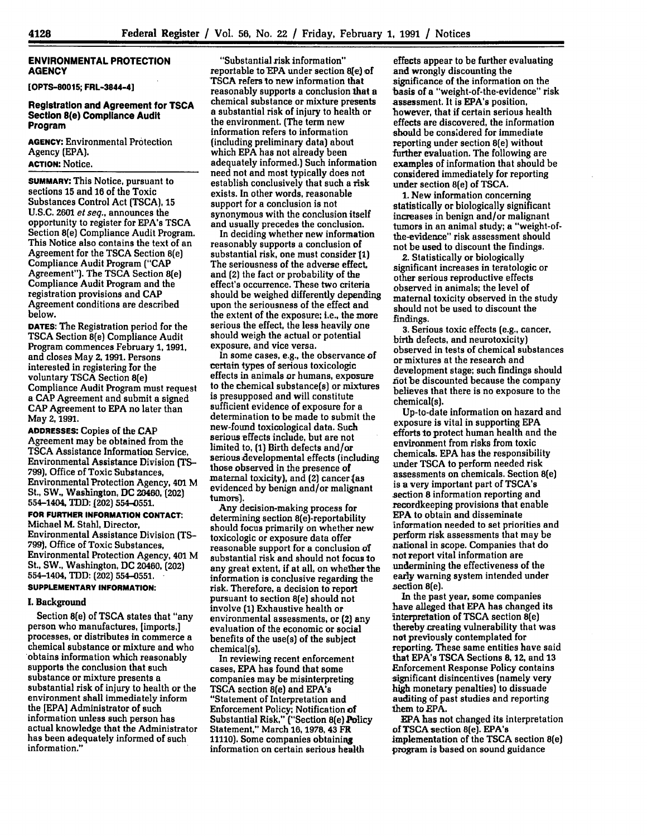## **ENVIRONMENTAL PROTECTION AGENCY**

**[OPTS-80015; FRL-3844-4]**

## **Registration and Agreement for TSCA Section 8(e) Compliance Audit Program**

**AGENCY:** Environmental Protection Agency **(EPA). ACTION:** Notice.

**SUMMARY:** This Notice, pursuant to sections **15** and 16 of the Toxic Substances Control Act **(TSCA), 15 U.S.C. 2601** et seq., announces the opportunity to register for **EPA's TSCA** Section 8(e) Compliance Audit Program. This Notice also contains the text of an Agreement for the **TSCA** Section 8(e) Compliance Audit Program **("CAP** Agreement"). The **TSCA** Section 8(e) Compliance Audit Program and the registration provisions and **CAP** Agreement conditions are described below.

**DATES:** The Registration period for the **TSCA Section 8(e) Compliance Audit** Program commences February **1, 1991,** and closes May **2, 1991.** Persons interested in registering for the voluntary **TSCA** Section 8(e) Compliance Audit Program must request a **CAP** Agreement and submit a signed **CAP** Agreement to **EPA** no later than May **2, 1991.**

**ADDRESSES:** Copies of the **CAP** Agreement may be obtained from the **TSCA** Assistance Information Service, Environmental Assistance Division **(TS-**799), Office of Toxic Substances, Environmental Protection Agency, 401 M St., SW,. Washington, **DC** 20460, (202) 554-1404, TDD: (202) 554-0551.

**FOR FURTHER INFORMATION CONTACT:** Michael M. Stahl, Director, Environmental Assistance Division **(TS-799),** Office of Toxic Substances, Environmental Protection Agency, **401** M St., SW., Washington, **DC** 20460, (202) 554-1404, TDD: (202) **554-0551.**

# **SUPPLEMENTARY INFORMATION:**

# **I. Background**

Section 8(e) of **TSCA** states that "any person who manufactures, [imports,] processes, or distributes in commerce a chemical substance or mixture and who obtains information which reasonably supports the conclusion that such substance or mixture presents a substantial risk of injury to health or the environment shall immediately inform the **[EPA]** Administrator of such information unless such person has actual knowledge that the Administrator has been adequately informed of such information."

"Substantial risk information" reportable to EPA under section Ble) of **TSCA** refers to new information that reasonably supports a conclusion that a chemical substance or mixture presents a substantial risk of injury to health or the environment. (The term new information refers to information (including preliminary data) about which **EPA** has not already been adequately informed.) Such information need not and most typically does not establish conclusively that such a risk exists. In other words, reasonable support for a conclusion is not synonymous with the conclusion itself and usually precedes the conclusion.

In deciding whether new information reasonably supports a conclusion of substantial risk, one must consider **11)** The seriousness of the adverse effect, and (2) the fact or probability of the effect's occurrence. These two criteria should be weighed differently depending upon the seriousness of the effect and the extent of the exposure; i.e., the more serious the effect, the less heavily one should weigh the actual or potential exposure, and vice versa.

In some cases, e.g., the observance of certain types of serious toxicologic effects in animals or humans, exposure to the chemical substance(s) or mixtures is presupposed and will constitute sufficient evidence of exposure for a determination to be made to submit the new-found toxicological data. Such serious effects include, but are not limited to, **(1)** Birth defects and/or serious Aevelopmental effects (including those observed in the presence of maternal toxicity), and **(2)** cancer **(as** evidenced **by** benign and/or malignant tumors).

**Any** decision-making process for determining section 8(e)-reportability should focus primarily on whether new toxicologic or exposure data offer reasonable support for a conclusion of substantial risk and should not focus to any great extent, if at all, on whether the information is conclusive regarding the risk. Therefore, a decision to report pursuant to section 8(e) should not involve **(1)** Exhaustive health or environmental assessments, or (2) any evaluation of the economic or social benefits of the use(s) of the subject chemical(s).

In reviewing recent enforcement cases, **EPA** has found that some companies may be misinterpreting **TSCA** section 8(e) and EPA's "Statement of Interpretation and Enforcement Policy; Notification of Substantial Risk," ("Section 8(e) Policy Statement," March **16, 1978, 43** FR **11110).** Some companies obtaining information on certain serious health

effects appear to be further evaluating and wrongly discounting the significance of the information on the 'basis of a "weight-of-the-evidence" risk assessment. It is EPA's position, however, that if certain serious health effects are discovered, the information should be considered for immediate reporting under section 8(e) without further evaluation. The following are examples of information that should be considered immediately for reporting under section 8(e) of **TSCA.**

**1.** New information concerning statistically or biologically significant increases in benign and/or malignant tumors in an animal study; a "weight-ofthe-evidence" risk assessment should not be used to discount the findings.

**2.** Statistically or biologically significant increases in teratologic or other serious reproductive effects observed in animals; the level of maternal toxicity observed in the study should not be used to discount the findings.

**3.** Serious toxic effects (e.g., cancer, birth defects, and neurotoxicity) observed in tests of chemical substances or mixtures at the research and development stage; such findings should **not** be discounted because the company believes that there is no exposure to the chemical(s).

Up-to-date information on hazard and exposure is vital in supporting **EPA** efforts to protect human health and the environment from risks from toxic chemicals. **EPA** has the responsibility under TSCA to perform needed risk assessments on chemicals. Section 8(e) is **a** very important part of TSCA's section **8** information reporting and recordkeeping provisions that enable **EPA** to obtain and disseminate information needed to set priorities and perform risk assessments that may be national in scope. Companies that do not report vital information are undermining the effectiveness of the early warning system intended under section 8(e).

In the past year, some companies have alleged that **EPA** has changed its interpretation of **TSCA** section 8(e) thereby creating vulnerability that was not previously contemplated for reporting. These same entities have said that EPA's **TSCA** Sections **8, 12,** and **13** Enforcement Response Policy contains significant disincentives (namely very high monetary penalties) to dissuade auditing of past studies and reporting them to **EPA.**

**EPA** has not changed its interpretation of **TSCA** section 8(e). EPA's implementation **of** the **TSCA** section 8(e) program is based on sound guidance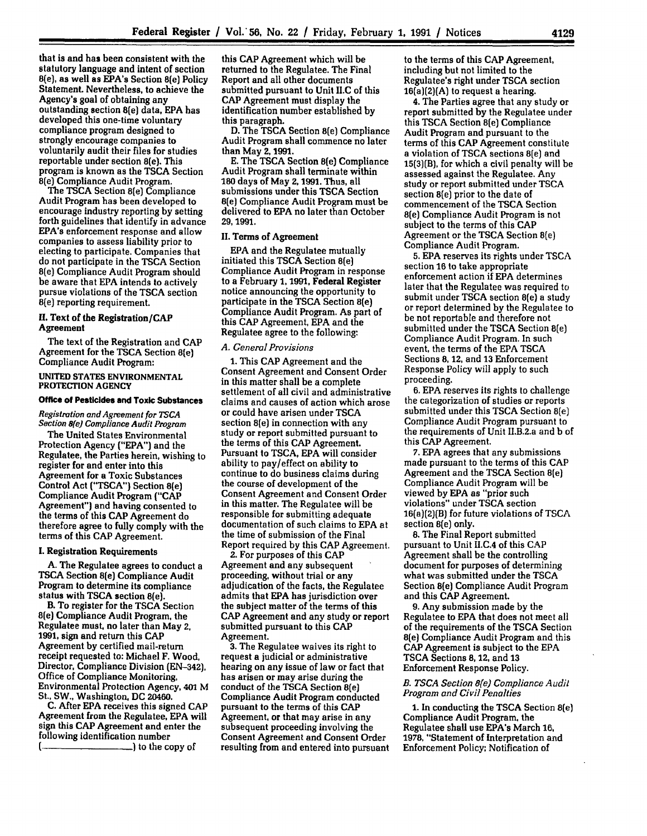that is and has been consistent with the statutory language and intent of section<br>8(e), as well as EPA's Section 8(e) Policy Statement. Nevertheless, to achieve the Agency's goal of obtaining any outstanding section 8(e) data, **EPA** has developed this one-time voluntary compliance program designed to strongly encourage companies to voluntarily audit their files for studies reportable under section 8(e). This program is known as the **TSCA** Section

8(e) Compliance Audit Program. The **TSCA** Section 8[e) Compliance Audit Program has been developed to encourage industry reporting **by** setting forth guidelines that identify in advance EPA's enforcement response and allow companies to assess liability prior to electing to participate. Companies that do not participate in the **TSCA** Section 8(e) Compliance Audit Program should be aware that **EPA** intends to actively pursue violations of the TSCA section 8(e) reporting requirement.

# *II.* Text of the Registration/CAP Agreement

The text of the Registration and **CAP** Agreement for the **TSCA** Section 8(e) Compliance Audit Program:

## UNITED **STATES** ENVIRONMENTAL PROTECTION **AGENCY**

# Office **of** Pesticides and Toxic Substances

*Registration and Agreement for TSCA Section 8(e) Compliance Audit Program*

The United States Environmental Protection Agency **("EPA")** and the Regulatee, the Parties herein, wishing to register for and enter into this Agreement for a Toxic Substances Control Act **("TSCA")** Section 8(e) Compliance Audit Program **("CAP** Agreement") and having consented to the terms of this **CAP** Agreement do therefore agree to fully comply with the terms of this **CAP** Agreement.

### **I.** Registration Requirements

**A.** The Regulatee agrees to conduct a **TSCA** Section 8(e) Compliance Audit Program to determine its compliance status with TSCA section 8(e).

B. To register for the **TSCA** Section 8(e) Compliance Audit Program, the Regulatee must, no later than May 2, 1991, sign and return this CAP Agreement **by** certified mail-return receipt requested to: Michael F. Wood, Director, Compliance Division **(EN-342),** Office of Compliance Monitoring, Environmental Protection Agency, 401 M St., SW., Washington. **DC** 20460.

C. After **EPA** receives this signed **CAP** Agreement from the Regulatee, **EPA** will sign this **CAP** Agreement and enter the following identification number **)** to the copy of

this **CAP** Agreement which will be returned to the Regulatee. The Final Report and all other documents submitted pursuant to Unit **II.C** of this **CAP** Agreement must display the identification number established **by** this paragraph.

**D.** The **TSCA** Section 8(e) Compliance Audit Program shall commence no later than May 2, **1991.**

**E.** The **TSCA** Section 8(e) Compliance Audit Program shall terminate within **180** days of May **2,1991.** Thus, all submissions under this **TSCA** Section 8(e) Compliance Audit Program must be delivered to **EPA** no later than October **29, 1991.**

## **II.** Terms of Agreement

**EPA** and the Regulatee mutually initiated this **TSCA** Section 8(e) Compliance Audit Program in response to a February **1, 1991,** Federal Register notice announcing the opportunity to participate in the **TSCA** Section 8(e) Compliance Audit Program. **As** part of this **CAP** Agreement, **EPA** and the Regulatee agree to the following:

#### *A. General Provisions*

**1.** This **CAP** Agreement and the Consent Agreement and Consent Order in this matter shall be a complete settlement of all civil and administrative claims and causes of action which arose or could have arisen under **TSCA** section 8(e) in connection with any study or report submitted pursuant to the terms of this CAP Agreement. Pursuant to **TSCA, EPA** will consider ability to pay/effect on ability to continue to do business claims during the course of development of the Consent Agreement and Consent Order in this matter. The Regulatee will be responsible for submitting adequate documentation of such claims to **EPA** at the time of submission of the Final Report required **by** this **CAP** Agreement.

2. For purposes of this **CAP** Agreement and any subsequent proceeding, without trial or any adjudication of the facts, the Regulatee the subject matter of the terms of this CAP Agreement and any study or report submitted pursuant to this **CAP** Agreement.

**3.** The Regulatee waives its right to request a judicial or administrative hearing on any issue of law or fact that has arisen or may arise during the conduct of the **TSCA** Section 8(e) Compliance Audit Program conducted pursuant to the terms of this **CAP** Agreement, or that may arise in any subsequent proceeding involving the Consent Agreement and Consent Order resulting from and entered into pursuant to the terms of this **CAP** Agreement, including but not limited to the Regulatee's right under **TSCA** section 16(a)(2)(A) to request a hearing.

4. The Parties agree that any study or report submitted **by** the Regulatee under this **TSCA** Section 8(e) Compliance Audit Program and pursuant to the terms of this **CAP** Agreement constitute a violation of **TSCA** sections 8(e) and **15(3)(B),** for which a civil penalty will be assessed against the Regulatee. Any study or report submitted under **TSCA** section 8(e) prior to the date of commencement of the **TSCA** Section 8(e) Compliance Audit Program is not subject to the terms of this **CAP** Agreement or the **TSCA** Section 8(e) Compliance Audit Program.

**5. EPA** reserves its rights under **TSCA** section **16** to take appropriate enforcement action if **EPA** determines later that the Regulatee was required to submit under **TSCA** section 8(e) a study or report determined **by** the Regulatee to be not reportable and therefore not submitted under the **TSCA** Section 8(e) Compliance Audit Program. In such event, the terms of the **EPA TSCA** Sections **8,** 12, and **13** Enforcement Response Policy will apply to such proceeding.

6. **EPA** reserves its rights to challenge the categorization of studies or reports submitted under this **TSCA** Section **8(e)** Compliance Audit Program pursuant to the requirements of Unit Il.B.2.a and b **of** this **CAP** Agreement.

**7. EPA** agrees that any submissions made pursuant to the terms of this CAP Agreement and the **TSCA** Section 8(e) Compliance Audit Program will be viewed **by EPA** as "prior such violations" under **TSCA** section 16(a)(2)(B) for future violations of **TSCA** section 8(e) only.

**8.** The Final Report submitted pursuant to Unit H.C,4 of this **CAP** Agreement shall be the controlling document for purposes of determining what was submitted under the **TSCA** Section 8(e) Compliance Audit Program and this **CAP** Agreement.

**9.** Any submission made **by** the Regulatee to **EPA** that does not meet all of the requirements of the **TSCA** Section 8(e) Compliance Audit Program and this **CAP** Agreement is subject to the **EPA TSCA** Sections **8,** 12, and **13** Enforcement Response Policy.

# *B. TSCA Section 8(e) Compliance Audit Program and Civil Penalties*

**1.** In conducting the **TSCA** Section 8(e) Compliance Audit Program, the Regulatee shall use EPA's March **16, 1978,** "Statement of Interpretation and Enforcement Policy; Notification of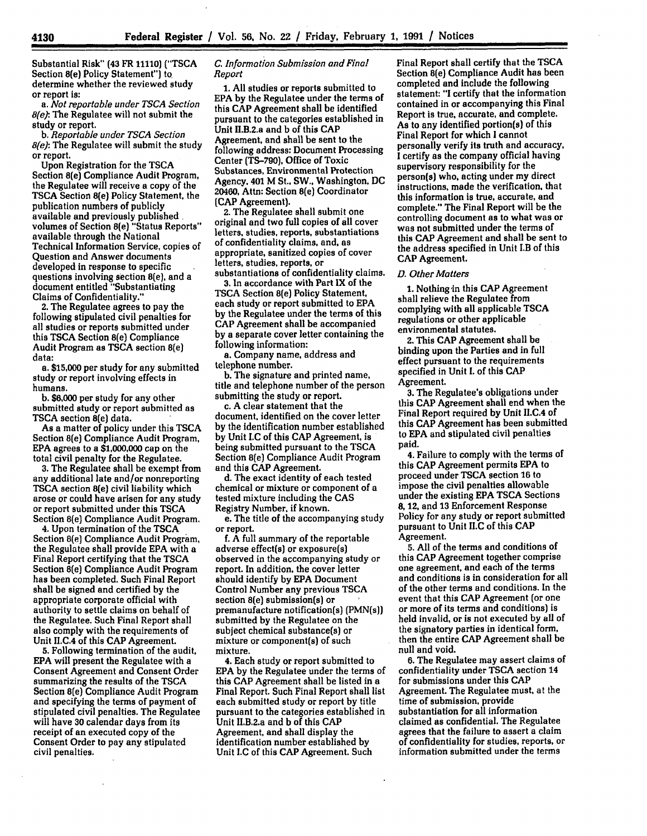Substantial Risk" **(43** FR **11110) ("TSCA** Section 8(e) Policy Statement") to determine whether the reviewed study<br>or report is:

or report is: *a. Not reportable under TSCA Section 8(e):* The Regulatee will not submit the study or report.

*b. Reportable under TSCA Section 8(e):* **The** Regulatee will submit the study or report.

Upon Registration for the **TSCA** Section 8(e) Compliance Audit Program, the Regulatee will receive a copy of the **TSCA** Section 8(e) Policy Statement, the publication numbers of publicly available and previously published volumes of Section 8(e) "Status Reports" available through the National Technical Information Service, copies of Question and Answer documents developed in response to specific questions involving section 8(e), and a document entitled "Substantiating Claims of Confidentiality."

2. The Regulatee agrees to pay the following stipulated civil penalties for all studies or reports submitted under this **TSCA** Section 8(e) Compliance Audit Program as **TSCA** section 8(e) data:

**a. \$15,000** per study for any submitted study or report involving effects in humans.

**b. \$6,000** per study for any other submitted study or report submitted as **TSCA** section 8(e) data.

As a matter of policy under this **TSCA** Section 8(e) Compliance Audit Program, **EPA** agrees to a **\$1,000,000** cap on the total civil penalty for **the** Regulatee.

**3.** The Regulatee shall be exempt from any additional late and/or nonreporting **TSCA** section 8(e) civil liability which arose or could have arisen for any study or report submitted under this **TSCA** Section 8(e) Compliance Audit Program.

**4.** Upon termination of the **TSCA** Section 8(e) Compliance Audit Program, the Regulatee shall provide **EPA** with a Final Report certifying that the **TSCA** Section 8(e) Compliance Audit Program has been completed. Such Final Report shall be signed and certified **by** the appropriate corporate official with authority to settle claims on behalf of the Regulatee. Such Final Report shall also comply with the requirements of Unit II.C.4 of this **CAP** Agreement.

**5.** Following termination of the audit, **EPA** will present the Regulatee with a Consent Agreement and Consent Order summarizing the results of the **TSCA** Section 8(e) Compliance Audit Program and specifying **the** terms of payment of stipulated civil penalties. The Regulatee will have **30** calendar days from its receipt of an executed copy of the Consent Order to pay any stipulated civil penalties.

# *C. Information Submission and Final Report*

**1.** All studies or reports submitted to **EPA by** the Regulatee under the terms of this **CAP** Agreement shall be identified pursuant to the categories established in Unit II.B.2.a and **b** of this **CAP** Agreement. and shall be sent to the following address: Document Processing Center **(TS-790),** Office of Toxic Substances, Environmental Protection Agency. 401 M St., SW., Washington, **DC** 20460, Attn: Section 8(e) Coordinator **(CAP** Agreement).

2. The Regulatee shall submit one original and two full copies of **all** cover letters, studies, reports, substantiations of confidentiality claims, and, as appropriate, sanitized copies of cover letters, studies, reports, or

substantiations of confidentiality claims. **3.** In accordance with Part IX of the

**TSCA** Section 8(e) Policy Statement, each study or report submitted to **EPA by** the Regulatee under the terms of this **CAP** Agreement shall be accompanied **by** a separate cover letter containing the following information:

a. Company name, address and telephone number.

**b.** The signature and printed name, title and telephone number of the person submitting the study or report.

c. **A** clear statement that the document, identified on the cover letter **by** the identification number established **by** Unit **I.C** of this **CAP** Agreement, is being submitted pursuant to the **TSCA** Section 8(e) Compliance Audit Program and this **CAP** Agreement.

**d.** The exact identity of each tested chemical or mixture or component of a tested mixture including the **CAS** Registry Number, if known.

e. The title of the accompanying study or report.

**f.** A full summary of the reportable adverse effect(s) or exposure(s) observed in the accompanying study or report. In addition, the cover letter should identify **by EPA** Document Control Number any previous **TSCA** section 8(e) submission(s) or premanufacture notification(s) (PMN(s)) submitted **by** the Regulatee on the subject chemical substance(s) or mixture or component(s) of such mixture.

**4.** Each study or report submitted to **EPA by** the Regulatee under the terms of this **CAP** Agreement shall be listed in a Final Report. Such Final Report shall list each submitted study or report **by** title pursuant to the categories established in Unit II.B.2.a and **b** of this **CAP** Agreement, and shall display the identification number established **by** Unit **I.C** of this **CAP** Agreement. Such

Final Report shall certify that the **TSCA** Section 8(e) Compliance Audit has been completed and include the following statement: "I certify that the information contained in or accompanying this Final Report is true, accurate, and complete. As to any identified portion(s) of this Final Report for which **I** cannot personally verify its truth and accuracy, **I** certify as the company official having supervisory responsibility for the person(s) who, acting under my direct instructions, made the verification, that this information is true, accurate, and complete." The Final Report will be the controlling document as to what was or was not submitted under the terms of this **CAP** Agreement and shall be sent to the address specified in Unit **I.B** of this **CAP Agreement.**

#### *D. Other Matters*

**1.** Nothing 'in this **CAP** Agreement shall relieve the Regulatee from complying with all applicable **TSCA** regulations or other applicable environmental statutes.

**2. This CAP** Agreement shall be binding upon the Parties and in full effect pursuant to the requirements specified in Unit **I.** of this **CAP** Agreement.

**3.** The Regulatee's obligations under this CAP Agreement shall end when the Final Report required **by** Unit II.C.4 of this **CAP** Agreement has been submitted to **EPA** and stipulated civil penalties paid.

**4.** Failure to comply with the terms of this **CAP** Agreement permits **EPA** to proceed under **TSCA** section **16** to impose the civil penalties allowable **under the existing EPA TSCA Sections 8, 12,** and 13 Enforcement Response Policy for any study or report submitted pursuant to Unit **II.C** of this **CAP** Agreement.

**5. All** of the terms and conditions of this **CAP** Agreement together comprise one agreement, and each of the terms and conditions is in consideration for all of the other terms and conditions. In the event that this **CAP** Agreement (or one or more of its terms and conditions) is held invalid, or is not executed **by** all of the signatory parties in identical form, then the entire **CAP** Agreement shall be null and void.

**6.** The Regulatee may assert claims of confidentiality under **TSCA** section 14 for submissions under this **CAP** Agreement. The Regulatee must, at the time of submission, provide substantiation for all information claimed as confidential. The Regulatee agrees that the failure to assert a claim of confidentiality for studies, reports, or information submitted under the terms